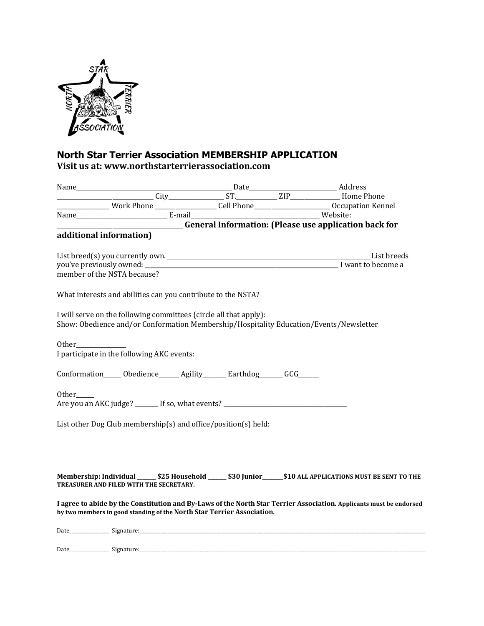

## **North Star Terrier Association MEMBERSHIP APPLICATION Visit us at: www.northstarterrierassociation.com**

| <b>Example 2016</b> General Information: (Please use application back for                                           |  |  |  |
|---------------------------------------------------------------------------------------------------------------------|--|--|--|
| additional information)                                                                                             |  |  |  |
|                                                                                                                     |  |  |  |
|                                                                                                                     |  |  |  |
| member of the NSTA because?                                                                                         |  |  |  |
|                                                                                                                     |  |  |  |
| What interests and abilities can you contribute to the NSTA?                                                        |  |  |  |
|                                                                                                                     |  |  |  |
| I will serve on the following committees (circle all that apply):                                                   |  |  |  |
| Show: Obedience and/or Conformation Membership/Hospitality Education/Events/Newsletter                              |  |  |  |
|                                                                                                                     |  |  |  |
|                                                                                                                     |  |  |  |
| I participate in the following AKC events:                                                                          |  |  |  |
|                                                                                                                     |  |  |  |
| Conformation______ Obedience_______ Agility________ Earthdog_______ GCG______                                       |  |  |  |
|                                                                                                                     |  |  |  |
| Other                                                                                                               |  |  |  |
| Are you an AKC judge? _______ If so, what events? ______________________________                                    |  |  |  |
| List other Dog Club membership(s) and office/position(s) held:                                                      |  |  |  |
|                                                                                                                     |  |  |  |
|                                                                                                                     |  |  |  |
|                                                                                                                     |  |  |  |
|                                                                                                                     |  |  |  |
| Membership: Individual ______ \$25 Household ______ \$30 Junior ______ \$10 ALL APPLICATIONS MUST BE SENT TO THE    |  |  |  |
| TREASURER AND FILED WITH THE SECRETARY.                                                                             |  |  |  |
|                                                                                                                     |  |  |  |
| I agree to abide by the Constitution and By-Laws of the North Star Terrier Association. Applicants must be endorsed |  |  |  |
| by two members in good standing of the North Star Terrier Association.                                              |  |  |  |
|                                                                                                                     |  |  |  |
|                                                                                                                     |  |  |  |

Date\_\_\_\_\_\_\_\_\_\_\_\_\_\_\_\_\_ Signature:\_\_\_\_\_\_\_\_\_\_\_\_\_\_\_\_\_\_\_\_\_\_\_\_\_\_\_\_\_\_\_\_\_\_\_\_\_\_\_\_\_\_\_\_\_\_\_\_\_\_\_\_\_\_\_\_\_\_\_\_\_\_\_\_\_\_\_\_\_\_\_\_\_\_\_\_\_\_\_\_\_\_\_\_\_\_\_\_\_\_\_\_\_\_\_\_\_\_\_\_\_\_\_\_\_\_\_\_\_\_\_\_\_\_\_\_\_\_\_\_\_\_